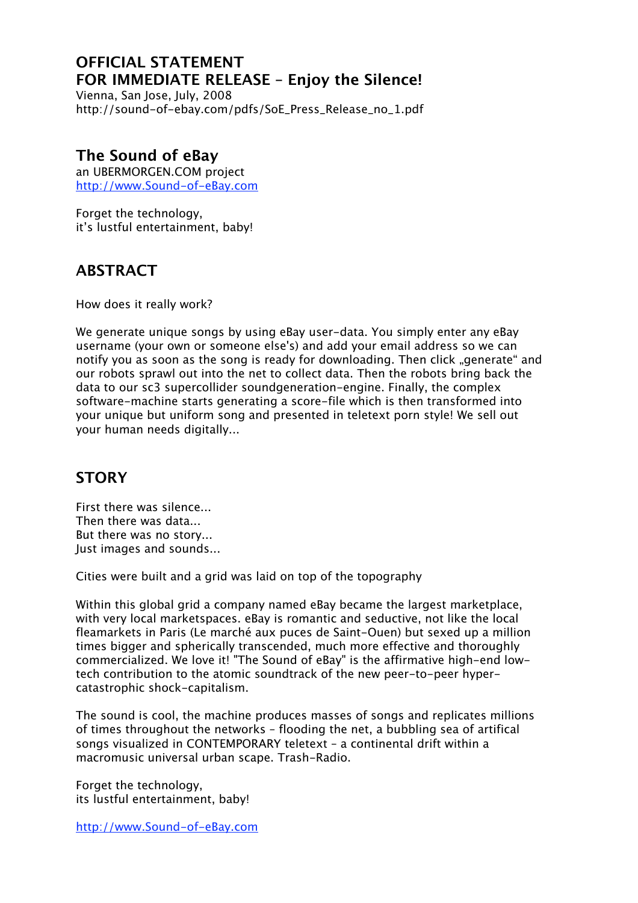### **OFFICIAL STATEMENT FOR IMMEDIATE RELEASE – Enjoy the Silence!**

Vienna, San Jose, July, 2008 http://sound-of-ebay.com/pdfs/SoE\_Press\_Release\_no\_1.pdf

#### **The Sound of eBay**

an UBERMORGEN.COM project http://www.Sound-of-eBay.com

Forget the technology. it's lustful entertainment, baby!

### **ABSTRACT**

How does it really work?

We generate unique songs by using eBay user-data. You simply enter any eBay username (your own or someone else's) and add your email address so we can notify you as soon as the song is ready for downloading. Then click "generate" and our robots sprawl out into the net to collect data. Then the robots bring back the data to our sc3 supercollider soundgeneration-engine. Finally, the complex software-machine starts generating a score-file which is then transformed into your unique but uniform song and presented in teletext porn style! We sell out your human needs digitally...

# **STORY**

First there was silence... Then there was data... But there was no story... Just images and sounds...

Cities were built and a grid was laid on top of the topography

Within this global grid a company named eBay became the largest marketplace, with very local marketspaces. eBay is romantic and seductive, not like the local fleamarkets in Paris (Le marché aux puces de Saint-Ouen) but sexed up a million times bigger and spherically transcended, much more effective and thoroughly commercialized. We love it! "The Sound of eBay" is the affirmative high-end lowtech contribution to the atomic soundtrack of the new peer-to-peer hypercatastrophic shock-capitalism.

The sound is cool, the machine produces masses of songs and replicates millions of times throughout the networks – flooding the net, a bubbling sea of artifical songs visualized in CONTEMPORARY teletext – a continental drift within a macromusic universal urban scape. Trash-Radio.

Forget the technology, its lustful entertainment, baby!

http://www.Sound-of-eBay.com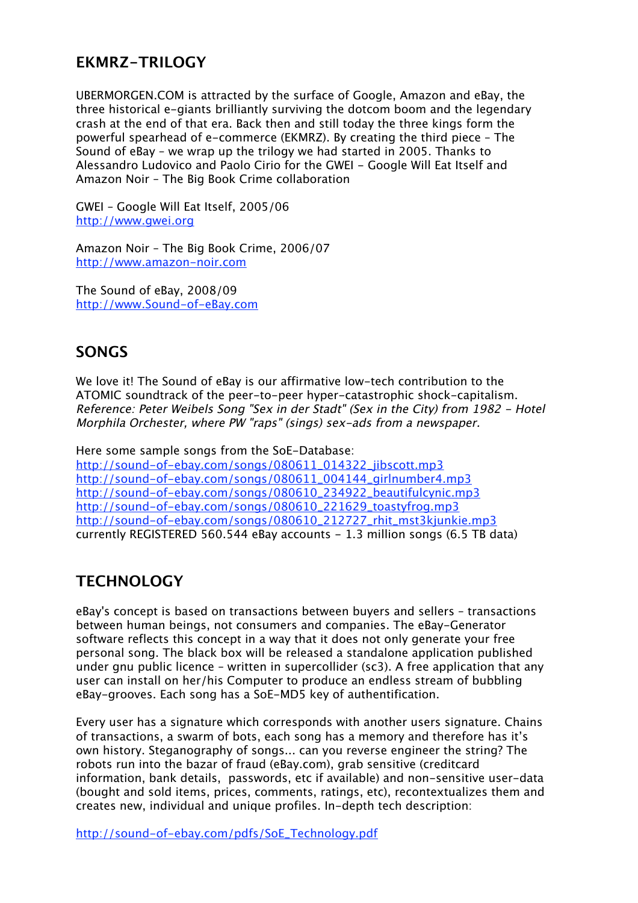### **EKMRZ-TRILOGY**

UBERMORGEN.COM is attracted by the surface of Google, Amazon and eBay, the three historical e-giants brilliantly surviving the dotcom boom and the legendary crash at the end of that era. Back then and still today the three kings form the powerful spearhead of e-commerce (EKMRZ). By creating the third piece – The Sound of eBay – we wrap up the trilogy we had started in 2005. Thanks to Alessandro Ludovico and Paolo Cirio for the GWEI - Google Will Eat Itself and Amazon Noir – The Big Book Crime collaboration

GWEI – Google Will Eat Itself, 2005/06 http://www.gwei.org

Amazon Noir – The Big Book Crime, 2006/07 http://www.amazon-noir.com

The Sound of eBay, 2008/09 http://www.Sound-of-eBay.com

### **SONGS**

We love it! The Sound of eBay is our affirmative low-tech contribution to the ATOMIC soundtrack of the peer-to-peer hyper-catastrophic shock-capitalism. Reference: Peter Weibels Song "Sex in der Stadt" (Sex in the City) from 1982 - Hotel Morphila Orchester, where PW "raps" (sings) sex-ads from a newspaper.

Here some sample songs from the SoE-Database: http://sound-of-ebay.com/songs/080611\_014322\_jibscott.mp3 http://sound-of-ebay.com/songs/080611\_004144\_girlnumber4.mp3 http://sound-of-ebay.com/songs/080610\_234922\_beautifulcynic.mp3 http://sound-of-ebay.com/songs/080610\_221629\_toastyfrog.mp3 http://sound-of-ebay.com/songs/080610\_212727\_rhit\_mst3kjunkie.mp3 currently REGISTERED 560.544 eBay accounts - 1.3 million songs (6.5 TB data)

#### **TECHNOLOGY**

eBay's concept is based on transactions between buyers and sellers – transactions between human beings, not consumers and companies. The eBay-Generator software reflects this concept in a way that it does not only generate your free personal song. The black box will be released a standalone application published under gnu public licence – written in supercollider (sc3). A free application that any user can install on her/his Computer to produce an endless stream of bubbling eBay-grooves. Each song has a SoE-MD5 key of authentification.

Every user has a signature which corresponds with another users signature. Chains of transactions, a swarm of bots, each song has a memory and therefore has it's own history. Steganography of songs... can you reverse engineer the string? The robots run into the bazar of fraud (eBay.com), grab sensitive (creditcard information, bank details, passwords, etc if available) and non-sensitive user-data (bought and sold items, prices, comments, ratings, etc), recontextualizes them and creates new, individual and unique profiles. In-depth tech description:

http://sound-of-ebay.com/pdfs/SoE\_Technology.pdf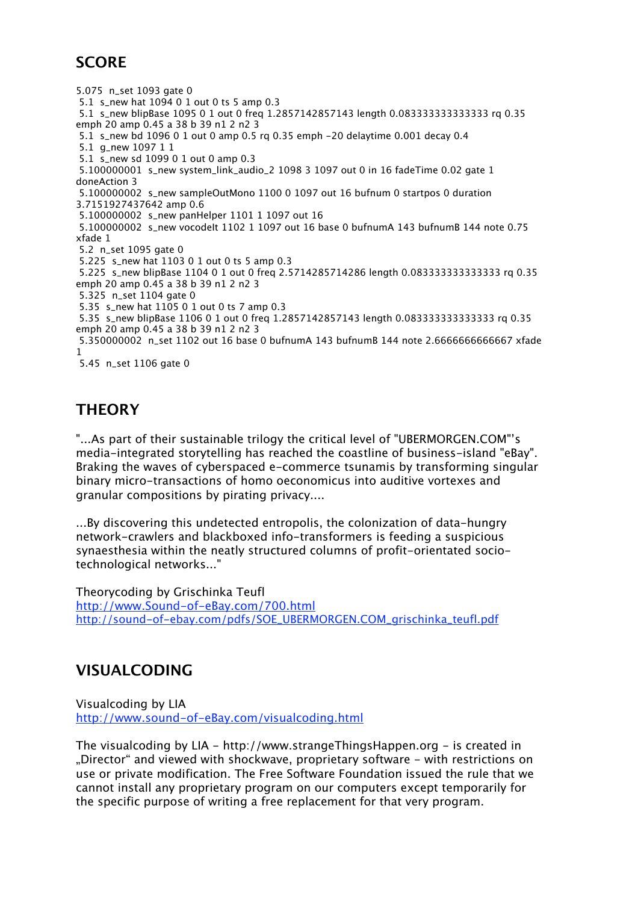## **SCORE**

5.075 n\_set 1093 gate 0 5.1 s\_new hat 1094 0 1 out 0 ts 5 amp 0.3 5.1 s\_new blipBase 1095 0 1 out 0 freq 1.2857142857143 length 0.083333333333333 rq 0.35 emph 20 amp 0.45 a 38 b 39 n1 2 n2 3 5.1 s\_new bd 1096 0 1 out 0 amp 0.5 rq 0.35 emph -20 delaytime 0.001 decay 0.4 5.1 g\_new 1097 1 1 5.1 s\_new sd 1099 0 1 out 0 amp 0.3 5.100000001 s\_new system\_link\_audio\_2 1098 3 1097 out 0 in 16 fadeTime 0.02 gate 1 doneAction 3 5.100000002 s\_new sampleOutMono 1100 0 1097 out 16 bufnum 0 startpos 0 duration 3.7151927437642 amp 0.6 5.100000002 s\_new panHelper 1101 1 1097 out 16 5.100000002 s\_new vocodelt 1102 1 1097 out 16 base 0 bufnumA 143 bufnumB 144 note 0.75 xfade 1 5.2 n\_set 1095 gate 0 5.225 s\_new hat 1103 0 1 out 0 ts 5 amp 0.3 5.225 s\_new blipBase 1104 0 1 out 0 freq 2.5714285714286 length 0.083333333333333 rq 0.35 emph 20 amp 0.45 a 38 b 39 n1 2 n2 3 5.325 n\_set 1104 gate 0 5.35 s\_new hat 1105 0 1 out 0 ts 7 amp 0.3 5.35 s\_new blipBase 1106 0 1 out 0 freq 1.2857142857143 length 0.083333333333333 rq 0.35 emph 20 amp 0.45 a 38 b 39 n1 2 n2 3 5.350000002 n\_set 1102 out 16 base 0 bufnumA 143 bufnumB 144 note 2.6666666666667 xfade 1 5.45 n\_set 1106 gate 0

# **THEORY**

"...As part of their sustainable trilogy the critical level of "UBERMORGEN.COM"'s media-integrated storytelling has reached the coastline of business-island "eBay". Braking the waves of cyberspaced e-commerce tsunamis by transforming singular binary micro-transactions of homo oeconomicus into auditive vortexes and granular compositions by pirating privacy....

...By discovering this undetected entropolis, the colonization of data-hungry network-crawlers and blackboxed info-transformers is feeding a suspicious synaesthesia within the neatly structured columns of profit-orientated sociotechnological networks..."

Theorycoding by Grischinka Teufl http://www.Sound-of-eBay.com/700.html http://sound-of-ebay.com/pdfs/SOE\_UBERMORGEN.COM\_grischinka\_teufl.pdf

### **VISUALCODING**

Visualcoding by LIA http://www.sound-of-eBay.com/visualcoding.html

The visualcoding by LIA - http://www.strangeThingsHappen.org - is created in "Director" and viewed with shockwave, proprietary software - with restrictions on use or private modification. The Free Software Foundation issued the rule that we cannot install any proprietary program on our computers except temporarily for the specific purpose of writing a free replacement for that very program.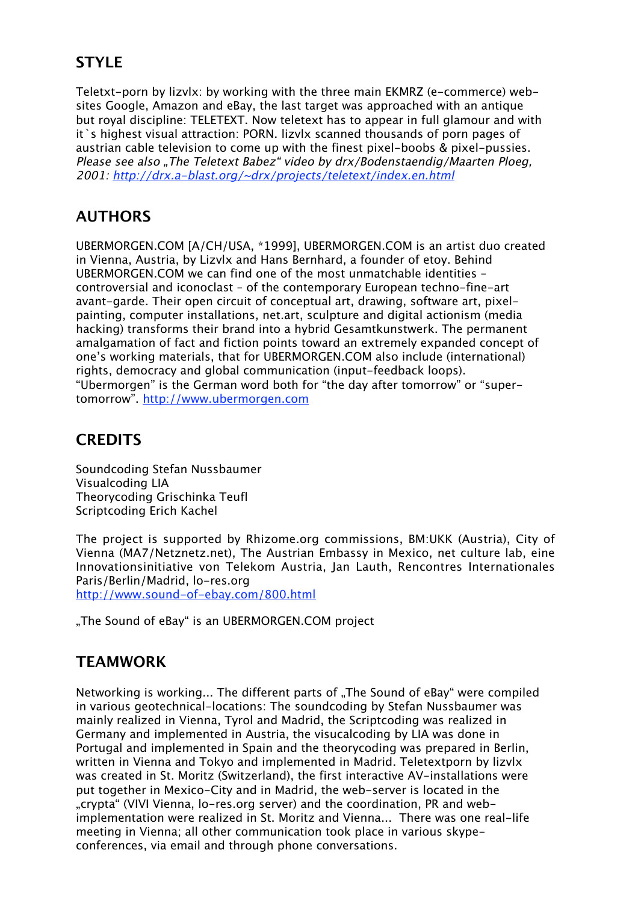# **STYLE**

Teletxt-porn by lizvlx: by working with the three main EKMRZ (e-commerce) websites Google, Amazon and eBay, the last target was approached with an antique but royal discipline: TELETEXT. Now teletext has to appear in full glamour and with it`s highest visual attraction: PORN. lizvlx scanned thousands of porn pages of austrian cable television to come up with the finest pixel-boobs & pixel-pussies. Please see also "The Teletext Babez" video by drx/Bodenstaendig/Maarten Ploeg, 2001: http://drx.a-blast.org/~drx/projects/teletext/index.en.html

### **AUTHORS**

UBERMORGEN.COM [A/CH/USA, \*1999], UBERMORGEN.COM is an artist duo created in Vienna, Austria, by Lizvlx and Hans Bernhard, a founder of etoy. Behind UBERMORGEN.COM we can find one of the most unmatchable identities – controversial and iconoclast – of the contemporary European techno-fine-art avant-garde. Their open circuit of conceptual art, drawing, software art, pixelpainting, computer installations, net.art, sculpture and digital actionism (media hacking) transforms their brand into a hybrid Gesamtkunstwerk. The permanent amalgamation of fact and fiction points toward an extremely expanded concept of one's working materials, that for UBERMORGEN.COM also include (international) rights, democracy and global communication (input-feedback loops). "Ubermorgen" is the German word both for "the day after tomorrow" or "supertomorrow". http://www.ubermorgen.com

### **CREDITS**

Soundcoding Stefan Nussbaumer Visualcoding LIA Theorycoding Grischinka Teufl Scriptcoding Erich Kachel

The project is supported by Rhizome.org commissions, BM:UKK (Austria), City of Vienna (MA7/Netznetz.net), The Austrian Embassy in Mexico, net culture lab, eine Innovationsinitiative von Telekom Austria, Jan Lauth, Rencontres Internationales Paris/Berlin/Madrid, lo-res.org

http://www.sound-of-ebay.com/800.html

"The Sound of eBay" is an UBERMORGEN.COM project

#### **TEAMWORK**

Networking is working... The different parts of "The Sound of eBay" were compiled in various geotechnical-locations: The soundcoding by Stefan Nussbaumer was mainly realized in Vienna, Tyrol and Madrid, the Scriptcoding was realized in Germany and implemented in Austria, the visucalcoding by LIA was done in Portugal and implemented in Spain and the theorycoding was prepared in Berlin, written in Vienna and Tokyo and implemented in Madrid. Teletextporn by lizvlx was created in St. Moritz (Switzerland), the first interactive AV-installations were put together in Mexico-City and in Madrid, the web-server is located in the "crypta" (VIVI Vienna, lo-res.org server) and the coordination, PR and webimplementation were realized in St. Moritz and Vienna... There was one real-life meeting in Vienna; all other communication took place in various skypeconferences, via email and through phone conversations.